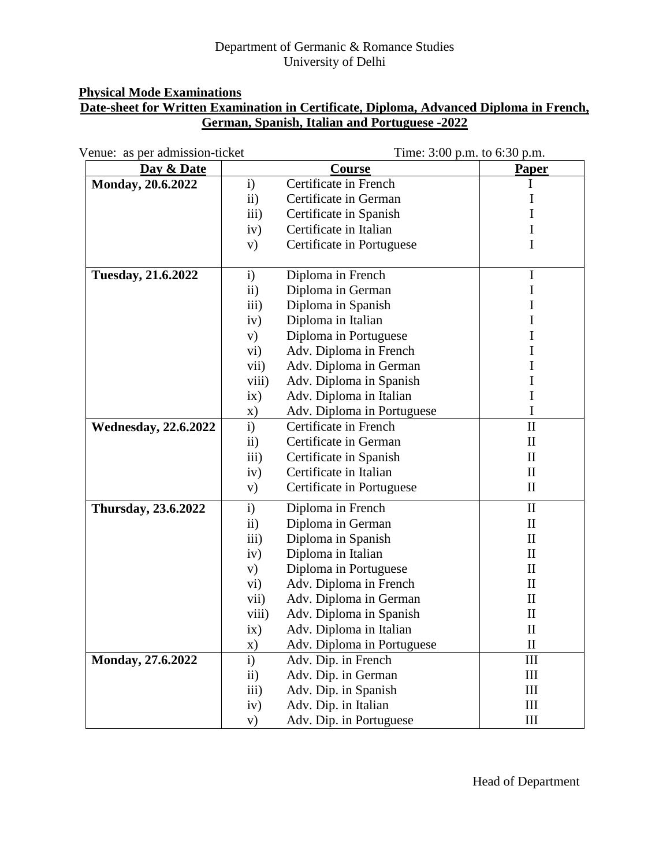## Department of Germanic & Romance Studies University of Delhi

# **Physical Mode Examinations**

# **Date-sheet for Written Examination in Certificate, Diploma, Advanced Diploma in French, German, Spanish, Italian and Portuguese -2022**

| Venue: as per admission-ticket |                  | Time: 3:00 p.m. to 6:30 p.m. |                                 |
|--------------------------------|------------------|------------------------------|---------------------------------|
| Day & Date                     |                  | Course                       | <b>Paper</b>                    |
| Monday, 20.6.2022              | i)               | Certificate in French        | I                               |
|                                | $\mathbf{ii}$    | Certificate in German        | 1                               |
|                                | iii)             | Certificate in Spanish       |                                 |
|                                | iv)              | Certificate in Italian       | 1                               |
|                                | V)               | Certificate in Portuguese    | I                               |
| <b>Tuesday, 21.6.2022</b>      | $\mathbf{i}$     | Diploma in French            | $\mathbf I$                     |
|                                | $\mathbf{ii}$    | Diploma in German            | I                               |
|                                | $\overline{iii}$ | Diploma in Spanish           | I                               |
|                                | iv)              | Diploma in Italian           | 1                               |
|                                | V)               | Diploma in Portuguese        |                                 |
|                                | vi)              | Adv. Diploma in French       | 1                               |
|                                | vii)             | Adv. Diploma in German       | 1                               |
|                                | viii)            | Adv. Diploma in Spanish      |                                 |
|                                | ix)              | Adv. Diploma in Italian      | I                               |
|                                | X)               | Adv. Diploma in Portuguese   | I                               |
| <b>Wednesday, 22.6.2022</b>    | i)               | Certificate in French        | $\mathbf{I}$                    |
|                                | $\mathbf{ii}$    | Certificate in German        | $\mathbf{I}$                    |
|                                | iii)             | Certificate in Spanish       | $\mathop{\mathrm{II}}\nolimits$ |
|                                | iv)              | Certificate in Italian       | $\mathbf{I}$                    |
|                                | V)               | Certificate in Portuguese    | $\mathbf{I}$                    |
| <b>Thursday, 23.6.2022</b>     | $\mathbf{i}$     | Diploma in French            | $\mathbf{I}$                    |
|                                | $\rm ii)$        | Diploma in German            | $\mathbf{I}$                    |
|                                | iii)             | Diploma in Spanish           | $\mathbf{I}$                    |
|                                | iv)              | Diploma in Italian           | $\mathbf{I}$                    |
|                                | V)               | Diploma in Portuguese        | $\mathbf{I}$                    |
|                                | vi)              | Adv. Diploma in French       | $\mathbf{I}$                    |
|                                | vii)             | Adv. Diploma in German       | $\mathop{\mathrm{II}}\nolimits$ |
|                                | viii)            | Adv. Diploma in Spanish      | $\mathbf H$                     |
|                                | ix)              | Adv. Diploma in Italian      | $\mathbf{I}$                    |
|                                | X)               | Adv. Diploma in Portuguese   | $\mathbf{I}$                    |
| Monday, 27.6.2022              | $\mathbf{i}$     | Adv. Dip. in French          | $\mathop{\rm III}$              |
|                                | $\mathbf{ii}$    | Adv. Dip. in German          | III                             |
|                                | iii)             | Adv. Dip. in Spanish         | Ш                               |
|                                | iv)              | Adv. Dip. in Italian         | III                             |
|                                | $\mathbf{v})$    | Adv. Dip. in Portuguese      | III                             |